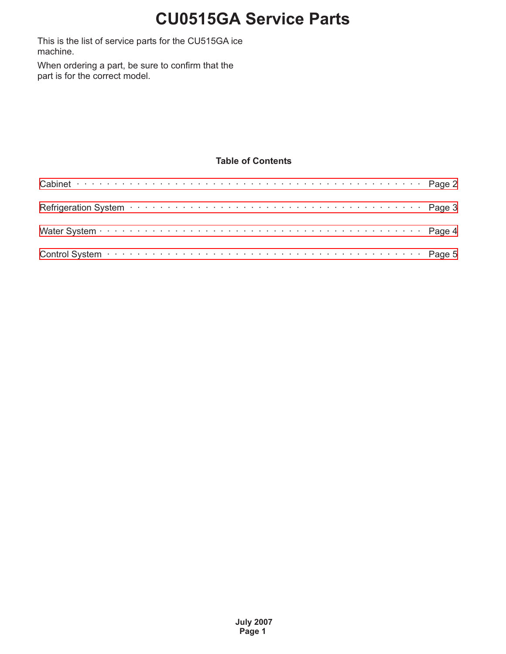This is the list of service parts for the CU515GA ice machine.

When ordering a part, be sure to confirm that the part is for the correct model.

#### **Table of Contents**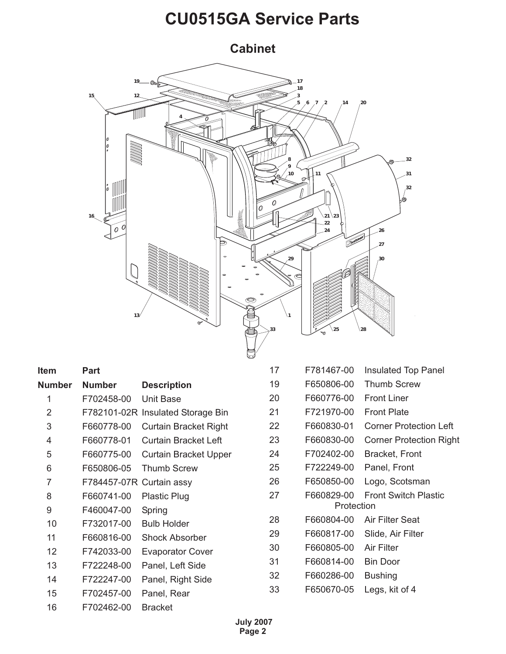<span id="page-1-0"></span>**Cabinet**



| <b>Part</b>   |                              | 17                                                            | F781467-00 | Insulated Top Panel            |
|---------------|------------------------------|---------------------------------------------------------------|------------|--------------------------------|
| <b>Number</b> | <b>Description</b>           | 19                                                            | F650806-00 | <b>Thumb Screw</b>             |
| F702458-00    | Unit Base                    | 20                                                            | F660776-00 | <b>Front Liner</b>             |
|               |                              | 21                                                            | F721970-00 | <b>Front Plate</b>             |
| F660778-00    | <b>Curtain Bracket Right</b> | 22                                                            | F660830-01 | <b>Corner Protection Left</b>  |
| F660778-01    | <b>Curtain Bracket Left</b>  | 23                                                            | F660830-00 | <b>Corner Protection Right</b> |
| F660775-00    | <b>Curtain Bracket Upper</b> | 24                                                            | F702402-00 | Bracket, Front                 |
| F650806-05    | <b>Thumb Screw</b>           | 25                                                            | F722249-00 | Panel, Front                   |
|               |                              | 26                                                            | F650850-00 | Logo, Scotsman                 |
| F660741-00    | <b>Plastic Plug</b>          | 27                                                            | F660829-00 | <b>Front Switch Plastic</b>    |
| F460047-00    | Spring                       |                                                               |            |                                |
| F732017-00    | <b>Bulb Holder</b>           | 28                                                            | F660804-00 | Air Filter Seat                |
| F660816-00    | <b>Shock Absorber</b>        | 29                                                            | F660817-00 | Slide, Air Filter              |
| F742033-00    | <b>Evaporator Cover</b>      | 30                                                            | F660805-00 | <b>Air Filter</b>              |
| F722248-00    | Panel, Left Side             | 31                                                            | F660814-00 | <b>Bin Door</b>                |
| F722247-00    | Panel, Right Side            | 32                                                            | F660286-00 | <b>Bushing</b>                 |
| F702457-00    | Panel, Rear                  | 33                                                            | F650670-05 | Legs, kit of 4                 |
| F702462-00    | <b>Bracket</b>               |                                                               |            |                                |
|               |                              | F782101-02R Insulated Storage Bin<br>F784457-07R Curtain assy |            | Protection                     |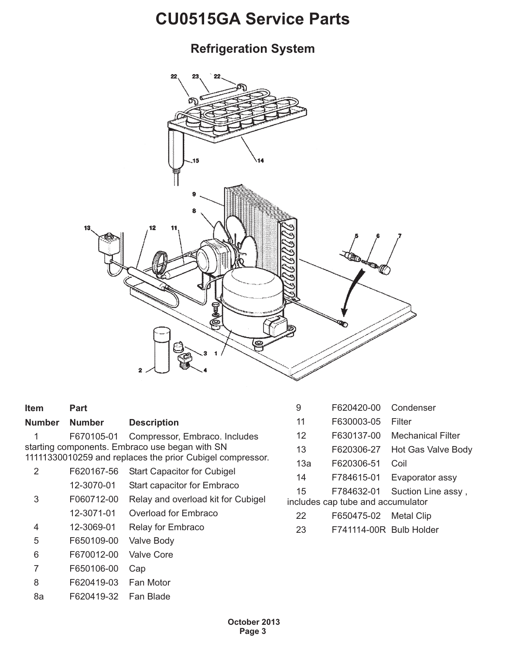#### <span id="page-2-0"></span>**Refrigeration System**



| <b>Item</b>    | <b>Part</b>   |                                                           | 9                 | F620420-00                        | Condenser                |
|----------------|---------------|-----------------------------------------------------------|-------------------|-----------------------------------|--------------------------|
| <b>Number</b>  | <b>Number</b> | <b>Description</b>                                        | 11                | F630003-05                        | Filter                   |
|                | F670105-01    | Compressor, Embraco. Includes                             | $12 \overline{ }$ | F630137-00                        | <b>Mechanical Filter</b> |
|                |               | starting components. Embraco use began with SN            | 13                | F620306-27                        | Hot Gas Valve Body       |
|                |               | 11111330010259 and replaces the prior Cubigel compressor. | 13a               | F620306-51                        | Coil                     |
| $\overline{2}$ | F620167-56    | <b>Start Capacitor for Cubigel</b>                        | 14                | F784615-01                        | Evaporator assy          |
|                | 12-3070-01    | Start capacitor for Embraco                               | 15                | F784632-01                        | Suction Line assy,       |
| 3              | F060712-00    | Relay and overload kit for Cubigel                        |                   | includes cap tube and accumulator |                          |
|                | 12-3071-01    | Overload for Embraco                                      | 22                | F650475-02                        | Metal Clip               |
| 4              | 12-3069-01    | <b>Relay for Embraco</b>                                  | 23                | F741114-00R Bulb Holder           |                          |
| 5              | F650109-00    | Valve Body                                                |                   |                                   |                          |
| 6              | F670012-00    | Valve Core                                                |                   |                                   |                          |
|                | F650106-00    | Cap                                                       |                   |                                   |                          |

- 8 F620419-03 Fan Motor
- 8a F620419-32 Fan Blade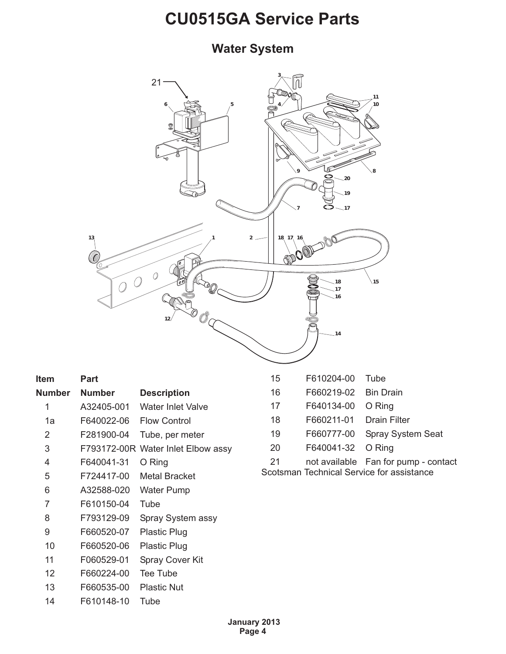#### <span id="page-3-0"></span>**Water System**



| Item   | Part          |                                    |
|--------|---------------|------------------------------------|
| Number | <b>Number</b> | <b>Description</b>                 |
| 1      | A32405-001    | Water Inlet Valve                  |
| 1a     | F640022-06    | <b>Flow Control</b>                |
| 2      | F281900-04    | Tube, per meter                    |
| 3      |               | F793172-00R Water Inlet Elbow assy |
| 4      | F640041-31    | O Ring                             |
| 5      | F724417-00    | <b>Metal Bracket</b>               |
| 6      | A32588-020    | Water Pump                         |
| 7      | F610150-04    | Tube                               |
| 8      | F793129-09    | Spray System assy                  |
| 9      | F660520-07    | Plastic Plug                       |
| 10     | F660520-06    | <b>Plastic Plug</b>                |
| 11     | F060529-01    | <b>Spray Cover Kit</b>             |
| 12     | F660224-00    | Tee Tube                           |
| 13     | F660535-00    | <b>Plastic Nut</b>                 |
| 14     | F610148-10    | Tube                               |

| 15       | F610204-00 Tube         |                                  |
|----------|-------------------------|----------------------------------|
| 16       | F660219-02 Bin Drain    |                                  |
| 17       | F640134-00 O Ring       |                                  |
| 18       | F660211-01 Drain Filter |                                  |
| 19       | F660777-00              | <b>Spray System Seat</b>         |
| 20       | F640041-32 O Ring       |                                  |
| $\Omega$ |                         | not available. Ean for numn, con |

21 not available Fan for pump - contact Scotsman Technical Service for assistance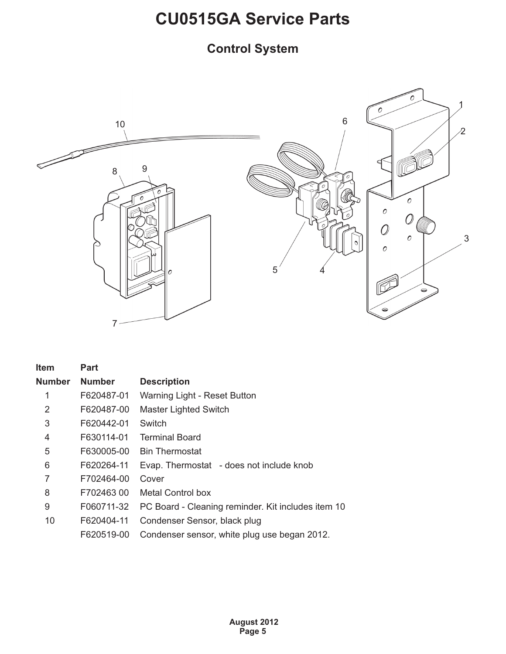#### <span id="page-4-0"></span>**Control System**



| <b>Item</b>    | Part          |                                                    |
|----------------|---------------|----------------------------------------------------|
| <b>Number</b>  | <b>Number</b> | <b>Description</b>                                 |
| 1              | F620487-01    | Warning Light - Reset Button                       |
| $\overline{2}$ | F620487-00    | <b>Master Lighted Switch</b>                       |
| 3              | F620442-01    | Switch                                             |
| 4              | F630114-01    | <b>Terminal Board</b>                              |
| 5              | F630005-00    | <b>Bin Thermostat</b>                              |
| 6              | F620264-11    | Evap. Thermostat - does not include knob           |
| 7              | F702464-00    | Cover                                              |
| 8              | F702463 00    | Metal Control box                                  |
| 9              | F060711-32    | PC Board - Cleaning reminder. Kit includes item 10 |
| 10             | F620404-11    | Condenser Sensor, black plug                       |
|                | F620519-00    | Condenser sensor, white plug use began 2012.       |
|                |               |                                                    |